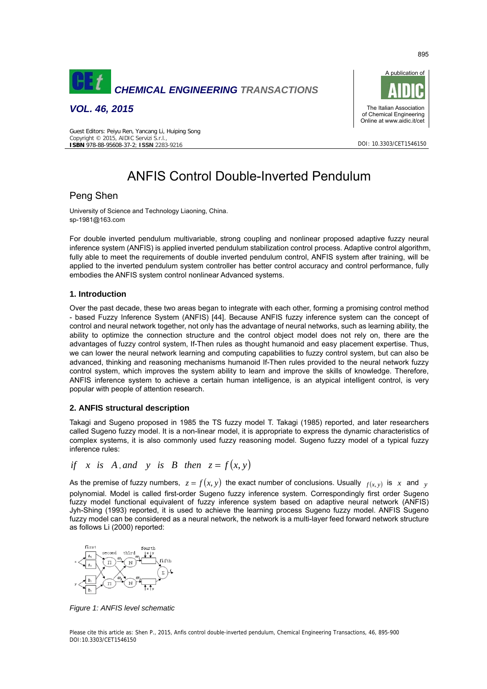

*VOL. 46, 2015* 



DOI: 10.3303/CET1546150

#### Guest Editors: Peiyu Ren, Yancang Li, Huiping Song Copyright © 2015, AIDIC Servizi S.r.l., **ISBN** 978-88-95608-37-2; **ISSN** 2283-9216

# ANFIS Control Double-Inverted Pendulum

# Peng Shen

University of Science and Technology Liaoning, China. sp-1981@163.com

For double inverted pendulum multivariable, strong coupling and nonlinear proposed adaptive fuzzy neural inference system (ANFIS) is applied inverted pendulum stabilization control process. Adaptive control algorithm, fully able to meet the requirements of double inverted pendulum control, ANFIS system after training, will be applied to the inverted pendulum system controller has better control accuracy and control performance, fully embodies the ANFIS system control nonlinear Advanced systems.

## **1. Introduction**

Over the past decade, these two areas began to integrate with each other, forming a promising control method - based Fuzzy Inference System (ANFIS) [44]. Because ANFIS fuzzy inference system can the concept of control and neural network together, not only has the advantage of neural networks, such as learning ability, the ability to optimize the connection structure and the control object model does not rely on, there are the advantages of fuzzy control system, If-Then rules as thought humanoid and easy placement expertise. Thus, we can lower the neural network learning and computing capabilities to fuzzy control system, but can also be advanced, thinking and reasoning mechanisms humanoid If-Then rules provided to the neural network fuzzy control system, which improves the system ability to learn and improve the skills of knowledge. Therefore, ANFIS inference system to achieve a certain human intelligence, is an atypical intelligent control, is very popular with people of attention research.

## **2. ANFIS structural description**

Takagi and Sugeno proposed in 1985 the TS fuzzy model T. Takagi (1985) reported, and later researchers called Sugeno fuzzy model. It is a non-linear model, it is appropriate to express the dynamic characteristics of complex systems, it is also commonly used fuzzy reasoning model. Sugeno fuzzy model of a typical fuzzy inference rules:

if x is A, and y is B then 
$$
z = f(x, y)
$$

As the premise of fuzzy numbers,  $z = f(x, y)$  the exact number of conclusions. Usually  $f(x, y)$  is x and y polynomial. Model is called first-order Sugeno fuzzy inference system. Correspondingly first order Sugeno fuzzy model functional equivalent of fuzzy inference system based on adaptive neural network (ANFIS) Jyh-Shing (1993) reported, it is used to achieve the learning process Sugeno fuzzy model. ANFIS Sugeno fuzzy model can be considered as a neural network, the network is a multi-layer feed forward network structure as follows Li (2000) reported:



*Figure 1: ANFIS level schematic* 

Please cite this article as: Shen P., 2015, Anfis control double-inverted pendulum, Chemical Engineering Transactions, 46, 895-900 DOI:10.3303/CET1546150

895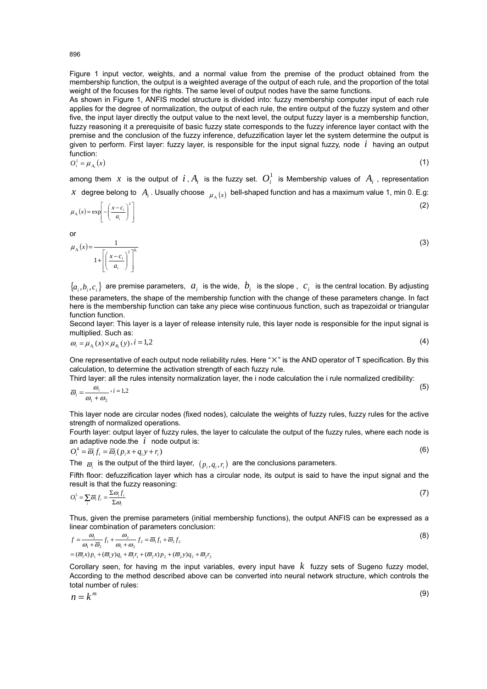Figure 1 input vector, weights, and a normal value from the premise of the product obtained from the membership function, the output is a weighted average of the output of each rule, and the proportion of the total weight of the focuses for the rights. The same level of output nodes have the same functions.

As shown in Figure 1, ANFIS model structure is divided into: fuzzy membership computer input of each rule applies for the degree of normalization, the output of each rule, the entire output of the fuzzy system and other five, the input layer directly the output value to the next level, the output fuzzy layer is a membership function, fuzzy reasoning it a prerequisite of basic fuzzy state corresponds to the fuzzy inference layer contact with the premise and the conclusion of the fuzzy inference, defuzzification layer let the system determine the output is given to perform. First layer: fuzzy layer, is responsible for the input signal fuzzy, node *i* having an output function:

$$
O_i^1 = \mu_{A_i}(x) \tag{1}
$$

among them  $x$  is the output of  $i$ ,  $A_i$  is the fuzzy set.  $O_i^1$  is Membership values of  $A_i$ , representation *x* degree belong to  $A_i$ . Usually choose  $\mu_i(x)$  bell-shaped function and has a maximum value 1, min 0. E.g:

$$
\mu_{A_i}(x) = \exp\left[-\left(\frac{x - c_i}{a_i}\right)^2\right]
$$
 (2)

or

$$
\mu_{A_i}(x) = \frac{1}{1 + \left[ \left( \frac{x - c_i}{a_i} \right)^2 \right]^{b_i}}
$$
\n(3)

 ${a_i, b_i, c_i}$  are premise parameters,  $a_i$  is the wide,  $b_i$  is the slope,  $c_i$  is the central location. By adjusting these parameters, the shape of the membership function with the change of these parameters change. In fact here is the membership function can take any piece wise continuous function, such as trapezoidal or triangular function function.

Second layer: This layer is a layer of release intensity rule, this layer node is responsible for the input signal is multiplied. Such as:

$$
\omega_i = \mu_{A_i}(x) \times \mu_{B_i}(y), i = 1,2
$$
\n(4)

One representative of each output node reliability rules. Here "×" is the AND operator of T specification. By this calculation, to determine the activation strength of each fuzzy rule.

Third layer: all the rules intensity normalization layer, the i node calculation the i rule normalized credibility:

$$
\overline{\omega}_i = \frac{\omega_i}{\omega_1 + \omega_2} \cdot i = 1,2
$$
\n<sup>(5)</sup>

This layer node are circular nodes (fixed nodes), calculate the weights of fuzzy rules, fuzzy rules for the active strength of normalized operations.

Fourth layer: output layer of fuzzy rules, the layer to calculate the output of the fuzzy rules, where each node is an adaptive node.the *i* node output is:

$$
O_i^4 = \overline{\omega}_i f_i = \overline{\omega}_i (p_i x + q_i y + r_i)
$$
\n<sup>(6)</sup>

The  $\bar{a}_i$  is the output of the third layer,  $(p_i, q_i, r_i)$  are the conclusions parameters.

Fifth floor: defuzzification layer which has a circular node, its output is said to have the input signal and the result is that the fuzzy reasoning:

$$
O_i^5 = \sum_i \overline{\omega}_i f_i = \frac{\sum \omega_i f_i}{\sum \omega_i} \tag{7}
$$

Thus, given the premise parameters (initial membership functions), the output ANFIS can be expressed as a linear combination of parameters conclusion:

$$
f = \frac{\omega_1}{\omega_1 + \overline{\omega}_2} f_1 + \frac{\omega_2}{\omega_1 + \omega_2} f_2 = \overline{\omega}_1 f_1 + \overline{\omega}_2 f_2
$$
  
=  $(\overline{\omega}_1 x) p_1 + (\overline{\omega}_1 y) q_1 + \overline{\omega}_1 r_1 + (\overline{\omega}_2 x) p_2 + (\overline{\omega}_2 y) q_2 + \overline{\omega}_2 r_2$  (8)

Corollary seen, for having m the input variables, every input have *k* fuzzy sets of Sugeno fuzzy model, According to the method described above can be converted into neural network structure, which controls the total number of rules:

$$
n = k^m \tag{9}
$$

896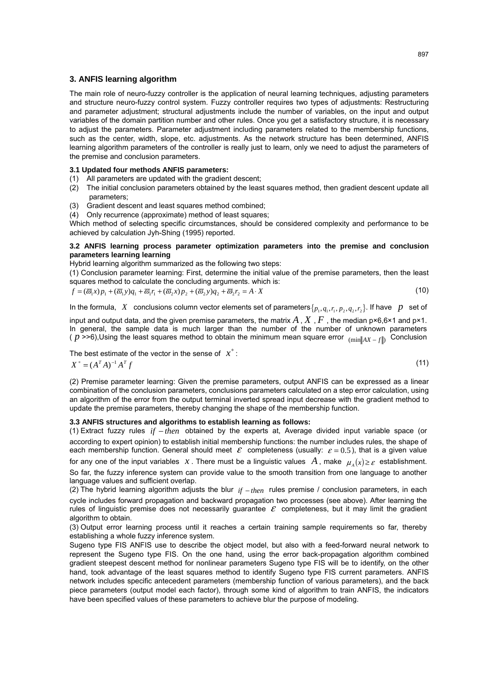#### **3. ANFIS learning algorithm**

The main role of neuro-fuzzy controller is the application of neural learning techniques, adjusting parameters and structure neuro-fuzzy control system. Fuzzy controller requires two types of adjustments: Restructuring and parameter adjustment; structural adjustments include the number of variables, on the input and output variables of the domain partition number and other rules. Once you get a satisfactory structure, it is necessary to adjust the parameters. Parameter adjustment including parameters related to the membership functions, such as the center, width, slope, etc. adjustments. As the network structure has been determined, ANFIS learning algorithm parameters of the controller is really just to learn, only we need to adjust the parameters of the premise and conclusion parameters.

#### **3.1 Updated four methods ANFIS parameters:**

- (1) All parameters are updated with the gradient descent;
- (2) The initial conclusion parameters obtained by the least squares method, then gradient descent update all parameters;
- (3) Gradient descent and least squares method combined;
- (4) Only recurrence (approximate) method of least squares;

Which method of selecting specific circumstances, should be considered complexity and performance to be achieved by calculation Jyh-Shing (1995) reported.

## **3.2 ANFIS learning process parameter optimization parameters into the premise and conclusion parameters learning learning**

Hybrid learning algorithm summarized as the following two steps:

(1) Conclusion parameter learning: First, determine the initial value of the premise parameters, then the least squares method to calculate the concluding arguments. which is:

$$
f = (\overline{\omega}_1 x)p_1 + (\overline{\omega}_1 y)q_1 + \overline{\omega}_1 r_1 + (\overline{\omega}_2 x)p_2 + (\overline{\omega}_2 y)q_2 + \overline{\omega}_2 r_2 = A \cdot X \tag{10}
$$

In the formula, X conclusions column vector elements set of parameters  $\{p_1, q_1, r_1, p_2, q_2, r_2\}$ . If have p set of

input and output data, and the given premise parameters, the matrix  $A$  ,  $X$  ,  $F$  , the median  $p \times 6.6 \times 1$  and  $p \times 1$ . In general, the sample data is much larger than the number of the number of unknown parameters ( *p* >>6),Using the least squares method to obtain the minimum mean square error <sub>(min</sub> <sub>AX − f</sub> ) Conclusion

The best estimate of the vector in the sense of  $x^*$ :

$$
X^* = (A^T A)^{-1} A^T f \tag{11}
$$

(2) Premise parameter learning: Given the premise parameters, output ANFIS can be expressed as a linear combination of the conclusion parameters, conclusions parameters calculated on a step error calculation, using an algorithm of the error from the output terminal inverted spread input decrease with the gradient method to update the premise parameters, thereby changing the shape of the membership function.

## **3.3 ANFIS structures and algorithms to establish learning as follows:**

(1) Extract fuzzy rules *if − then* obtained by the experts at, Average divided input variable space (or according to expert opinion) to establish initial membership functions: the number includes rules, the shape of each membership function. General should meet  $\mathcal E$  completeness (usually:  $\mathcal E = 0.5$ ), that is a given value for any one of the input variables x. There must be a linguistic values A, make  $\mu(x) \geq \varepsilon$  establishment. So far, the fuzzy inference system can provide value to the smooth transition from one language to another language values and sufficient overlap.

(2) The hybrid learning algorithm adjusts the blur <sub>*if − then* rules premise / conclusion parameters, in each</sub> cycle includes forward propagation and backward propagation two processes (see above). After learning the rules of linguistic premise does not necessarily guarantee  $\varepsilon$  completeness, but it may limit the gradient algorithm to obtain.

(3) Output error learning process until it reaches a certain training sample requirements so far, thereby establishing a whole fuzzy inference system.

Sugeno type FIS ANFIS use to describe the object model, but also with a feed-forward neural network to represent the Sugeno type FIS. On the one hand, using the error back-propagation algorithm combined gradient steepest descent method for nonlinear parameters Sugeno type FIS will be to identify, on the other hand, took advantage of the least squares method to identify Sugeno type FIS current parameters. ANFIS network includes specific antecedent parameters (membership function of various parameters), and the back piece parameters (output model each factor), through some kind of algorithm to train ANFIS, the indicators have been specified values of these parameters to achieve blur the purpose of modeling.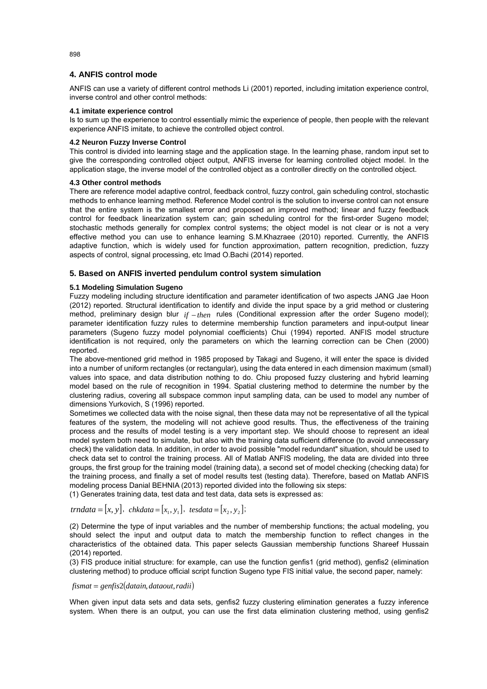## **4. ANFIS control mode**

ANFIS can use a variety of different control methods Li (2001) reported, including imitation experience control, inverse control and other control methods:

#### **4.1 imitate experience control**

Is to sum up the experience to control essentially mimic the experience of people, then people with the relevant experience ANFIS imitate, to achieve the controlled object control.

#### **4.2 Neuron Fuzzy Inverse Control**

This control is divided into learning stage and the application stage. In the learning phase, random input set to give the corresponding controlled object output, ANFIS inverse for learning controlled object model. In the application stage, the inverse model of the controlled object as a controller directly on the controlled object.

#### **4.3 Other control methods**

There are reference model adaptive control, feedback control, fuzzy control, gain scheduling control, stochastic methods to enhance learning method. Reference Model control is the solution to inverse control can not ensure that the entire system is the smallest error and proposed an improved method; linear and fuzzy feedback control for feedback linearization system can; gain scheduling control for the first-order Sugeno model; stochastic methods generally for complex control systems; the object model is not clear or is not a very effective method you can use to enhance learning S.M.Khazraee (2010) reported. Currently, the ANFIS adaptive function, which is widely used for function approximation, pattern recognition, prediction, fuzzy aspects of control, signal processing, etc Imad O.Bachi (2014) reported.

## **5. Based on ANFIS inverted pendulum control system simulation**

#### **5.1 Modeling Simulation Sugeno**

Fuzzy modeling including structure identification and parameter identification of two aspects JANG Jae Hoon (2012) reported. Structural identification to identify and divide the input space by a grid method or clustering method, preliminary design blur  $_{if - then}$  rules (Conditional expression after the order Sugeno model); parameter identification fuzzy rules to determine membership function parameters and input-output linear parameters (Sugeno fuzzy model polynomial coefficients) Chui (1994) reported. ANFIS model structure identification is not required, only the parameters on which the learning correction can be Chen (2000) reported.

The above-mentioned grid method in 1985 proposed by Takagi and Sugeno, it will enter the space is divided into a number of uniform rectangles (or rectangular), using the data entered in each dimension maximum (small) values into space, and data distribution nothing to do. Chiu proposed fuzzy clustering and hybrid learning model based on the rule of recognition in 1994. Spatial clustering method to determine the number by the clustering radius, covering all subspace common input sampling data, can be used to model any number of dimensions Yurkovich, S (1996) reported.

Sometimes we collected data with the noise signal, then these data may not be representative of all the typical features of the system, the modeling will not achieve good results. Thus, the effectiveness of the training process and the results of model testing is a very important step. We should choose to represent an ideal model system both need to simulate, but also with the training data sufficient difference (to avoid unnecessary check) the validation data. In addition, in order to avoid possible "model redundant" situation, should be used to check data set to control the training process. All of Matlab ANFIS modeling, the data are divided into three groups, the first group for the training model (training data), a second set of model checking (checking data) for the training process, and finally a set of model results test (testing data). Therefore, based on Matlab ANFIS modeling process Danial BEHNIA (2013) reported divided into the following six steps:

(1) Generates training data, test data and test data, data sets is expressed as:

# $trndata = [x, y], chkdata = [x_1, y_1], tesdata = [x_2, y_2];$

(2) Determine the type of input variables and the number of membership functions; the actual modeling, you should select the input and output data to match the membership function to reflect changes in the characteristics of the obtained data. This paper selects Gaussian membership functions Shareef Hussain (2014) reported.

(3) FIS produce initial structure: for example, can use the function genfis1 (grid method), genfis2 (elimination clustering method) to produce official script function Sugeno type FIS initial value, the second paper, namely:

## $fismat = genfis2(datain, dataout, radii)$

When given input data sets and data sets, genfis2 fuzzy clustering elimination generates a fuzzy inference system. When there is an output, you can use the first data elimination clustering method, using genfis2

898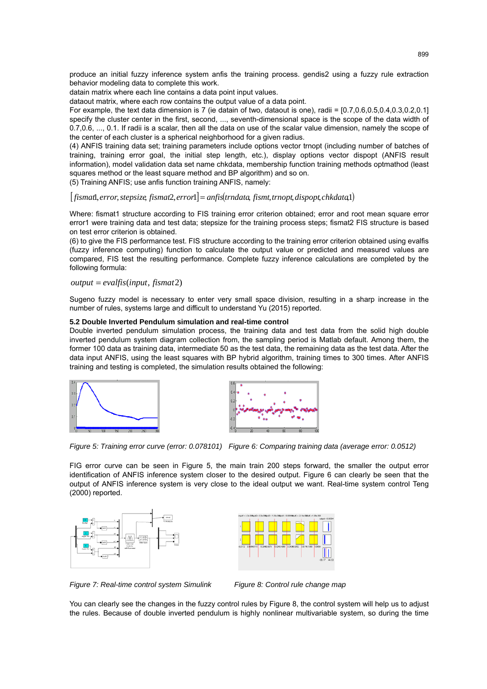produce an initial fuzzy inference system anfis the training process. gendis2 using a fuzzy rule extraction behavior modeling data to complete this work.

datain matrix where each line contains a data point input values.

dataout matrix, where each row contains the output value of a data point.

For example, the text data dimension is 7 (ie datain of two, dataout is one), radii = [0.7,0.6,0.5,0.4,0.3,0.2,0.1] specify the cluster center in the first, second, ..., seventh-dimensional space is the scope of the data width of 0.7,0.6, ..., 0.1. If radii is a scalar, then all the data on use of the scalar value dimension, namely the scope of the center of each cluster is a spherical neighborhood for a given radius.

(4) ANFIS training data set; training parameters include options vector trnopt (including number of batches of training, training error goal, the initial step length, etc.), display options vector dispopt (ANFIS result information), model validation data set name chkdata, membership function training methods optmathod (least squares method or the least square method and BP algorithm) and so on.

(5) Training ANFIS; use anfis function training ANFIS, namely:

 $\int$  *fismat*, *error*, *stepsize*, *fismat*, *error* $\int$  = *anfis*(*trndata*, *fismt, trnopt, dispopt, chkdata*1)

Where: fismat1 structure according to FIS training error criterion obtained; error and root mean square error error1 were training data and test data; stepsize for the training process steps; fismat2 FIS structure is based on test error criterion is obtained.

(6) to give the FIS performance test. FIS structure according to the training error criterion obtained using evalfis (fuzzy inference computing) function to calculate the output value or predicted and measured values are compared, FIS test the resulting performance. Complete fuzzy inference calculations are completed by the following formula:

#### $output = evalfis(input, fismat2)$

Sugeno fuzzy model is necessary to enter very small space division, resulting in a sharp increase in the number of rules, systems large and difficult to understand Yu (2015) reported.

#### **5.2 Double Inverted Pendulum simulation and real-time control**

Double inverted pendulum simulation process, the training data and test data from the solid high double inverted pendulum system diagram collection from, the sampling period is Matlab default. Among them, the former 100 data as training data, intermediate 50 as the test data, the remaining data as the test data. After the data input ANFIS, using the least squares with BP hybrid algorithm, training times to 300 times. After ANFIS training and testing is completed, the simulation results obtained the following:





*Figure 5: Training error curve (error: 0.078101) Figure 6: Comparing training data (average error: 0.0512)* 

FIG error curve can be seen in Figure 5, the main train 200 steps forward, the smaller the output error identification of ANFIS inference system closer to the desired output. Figure 6 can clearly be seen that the output of ANFIS inference system is very close to the ideal output we want. Real-time system control Teng (2000) reported.



Figure 7: Real-time control system Simulink Figure 8: Control rule change map

You can clearly see the changes in the fuzzy control rules by Figure 8, the control system will help us to adjust the rules. Because of double inverted pendulum is highly nonlinear multivariable system, so during the time